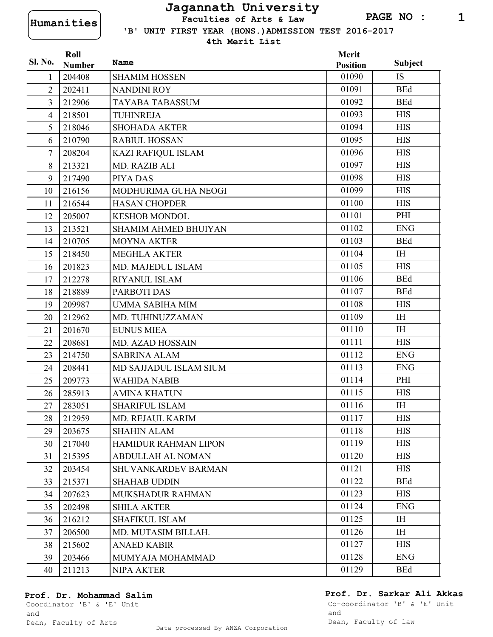**Humanities Faculties of Arts & Law**

 **'B' UNIT FIRST YEAR (HONS.)ADMISSION TEST 2016-2017**

**4th Merit List**

|                | Roll          |                             | Merit           |                |
|----------------|---------------|-----------------------------|-----------------|----------------|
| <b>Sl. No.</b> | <b>Number</b> | Name                        | <b>Position</b> | <b>Subject</b> |
| 1              | 204408        | <b>SHAMIM HOSSEN</b>        | 01090           | <b>IS</b>      |
| $\overline{2}$ | 202411        | <b>NANDINI ROY</b>          | 01091           | <b>BEd</b>     |
| $\overline{3}$ | 212906        | TAYABA TABASSUM             | 01092           | <b>BEd</b>     |
| $\overline{4}$ | 218501        | <b>TUHINREJA</b>            | 01093           | <b>HIS</b>     |
| 5              | 218046        | <b>SHOHADA AKTER</b>        | 01094           | <b>HIS</b>     |
| 6              | 210790        | <b>RABIUL HOSSAN</b>        | 01095           | <b>HIS</b>     |
| 7              | 208204        | KAZI RAFIQUL ISLAM          | 01096           | <b>HIS</b>     |
| 8              | 213321        | MD. RAZIB ALI               | 01097           | <b>HIS</b>     |
| 9              | 217490        | PIYA DAS                    | 01098           | <b>HIS</b>     |
| 10             | 216156        | MODHURIMA GUHA NEOGI        | 01099           | <b>HIS</b>     |
| 11             | 216544        | <b>HASAN CHOPDER</b>        | 01100           | <b>HIS</b>     |
| 12             | 205007        | <b>KESHOB MONDOL</b>        | 01101           | PHI            |
| 13             | 213521        | <b>SHAMIM AHMED BHUIYAN</b> | 01102           | <b>ENG</b>     |
| 14             | 210705        | <b>MOYNA AKTER</b>          | 01103           | <b>BEd</b>     |
| 15             | 218450        | <b>MEGHLA AKTER</b>         | 01104           | <b>IH</b>      |
| 16             | 201823        | MD. MAJEDUL ISLAM           | 01105           | <b>HIS</b>     |
| 17             | 212278        | <b>RIYANUL ISLAM</b>        | 01106           | <b>BEd</b>     |
| 18             | 218889        | <b>PARBOTI DAS</b>          | 01107           | <b>BEd</b>     |
| 19             | 209987        | <b>UMMA SABIHA MIM</b>      | 01108           | <b>HIS</b>     |
| 20             | 212962        | MD. TUHINUZZAMAN            | 01109           | <b>IH</b>      |
| 21             | 201670        | <b>EUNUS MIEA</b>           | 01110           | <b>IH</b>      |
| 22             | 208681        | <b>MD. AZAD HOSSAIN</b>     | 01111           | <b>HIS</b>     |
| 23             | 214750        | <b>SABRINA ALAM</b>         | 01112           | <b>ENG</b>     |
| 24             | 208441        | MD SAJJADUL ISLAM SIUM      | 01113           | <b>ENG</b>     |
| 25             | 209773        | <b>WAHIDA NABIB</b>         | 01114           | PHI            |
| 26             | 285913        | AMINA KHATUN                | 01115           | <b>HIS</b>     |
| 27             | 283051        | <b>SHARIFUL ISLAM</b>       | 01116           | <b>IH</b>      |
| 28             | 212959        | MD. REJAUL KARIM            | 01117           | <b>HIS</b>     |
| 29             | 203675        | <b>SHAHIN ALAM</b>          | 01118           | <b>HIS</b>     |
| 30             | 217040        | HAMIDUR RAHMAN LIPON        | 01119           | <b>HIS</b>     |
| 31             | 215395        | <b>ABDULLAH AL NOMAN</b>    | 01120           | <b>HIS</b>     |
| 32             | 203454        | SHUVANKARDEV BARMAN         | 01121           | <b>HIS</b>     |
| 33             | 215371        | <b>SHAHAB UDDIN</b>         | 01122           | <b>BEd</b>     |
| 34             | 207623        | MUKSHADUR RAHMAN            | 01123           | <b>HIS</b>     |
| 35             | 202498        | <b>SHILA AKTER</b>          | 01124           | <b>ENG</b>     |
| 36             | 216212        | <b>SHAFIKUL ISLAM</b>       | 01125           | IH             |
| 37             | 206500        | MD. MUTASIM BILLAH.         | 01126           | <b>IH</b>      |
| 38             | 215602        | <b>ANAED KABIR</b>          | 01127           | <b>HIS</b>     |
| 39             | 203466        | MUMYAJA MOHAMMAD            | 01128           | <b>ENG</b>     |
| 40             | 211213        | NIPA AKTER                  | 01129           | <b>BEd</b>     |

#### **Prof. Dr. Mohammad Salim**

### **Prof. Dr. Sarkar Ali Akkas**

Coordinator 'B' & 'E' Unit and Dean, Faculty of Arts

Data processed By ANZA Corporation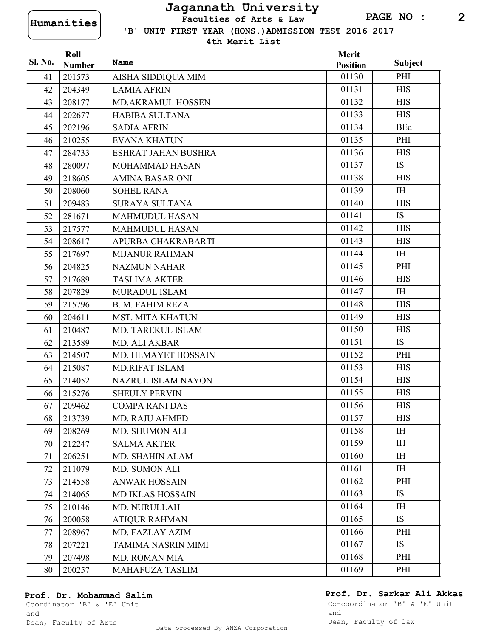**'B' UNIT FIRST YEAR (HONS.)ADMISSION TEST 2016-2017 Humanities Faculties of Arts & Law**

**4th Merit List**

| Sl. No. | Roll          | Name                     | Merit           |                |
|---------|---------------|--------------------------|-----------------|----------------|
|         | <b>Number</b> |                          | <b>Position</b> | <b>Subject</b> |
| 41      | 201573        | AISHA SIDDIQUA MIM       | 01130           | PHI            |
| 42      | 204349        | <b>LAMIA AFRIN</b>       | 01131           | <b>HIS</b>     |
| 43      | 208177        | <b>MD.AKRAMUL HOSSEN</b> | 01132           | <b>HIS</b>     |
| 44      | 202677        | <b>HABIBA SULTANA</b>    | 01133           | <b>HIS</b>     |
| 45      | 202196        | <b>SADIA AFRIN</b>       | 01134           | <b>BEd</b>     |
| 46      | 210255        | <b>EVANA KHATUN</b>      | 01135           | PHI            |
| 47      | 284733        | ESHRAT JAHAN BUSHRA      | 01136           | <b>HIS</b>     |
| 48      | 280097        | MOHAMMAD HASAN           | 01137           | <b>IS</b>      |
| 49      | 218605        | <b>AMINA BASAR ONI</b>   | 01138           | <b>HIS</b>     |
| 50      | 208060        | <b>SOHEL RANA</b>        | 01139           | <b>IH</b>      |
| 51      | 209483        | <b>SURAYA SULTANA</b>    | 01140           | <b>HIS</b>     |
| 52      | 281671        | <b>MAHMUDUL HASAN</b>    | 01141           | <b>IS</b>      |
| 53      | 217577        | <b>MAHMUDUL HASAN</b>    | 01142           | <b>HIS</b>     |
| 54      | 208617        | APURBA CHAKRABARTI       | 01143           | <b>HIS</b>     |
| 55      | 217697        | <b>MIJANUR RAHMAN</b>    | 01144           | <b>IH</b>      |
| 56      | 204825        | <b>NAZMUN NAHAR</b>      | 01145           | PHI            |
| 57      | 217689        | <b>TASLIMA AKTER</b>     | 01146           | <b>HIS</b>     |
| 58      | 207829        | <b>MURADUL ISLAM</b>     | 01147           | <b>IH</b>      |
| 59      | 215796        | <b>B. M. FAHIM REZA</b>  | 01148           | <b>HIS</b>     |
| 60      | 204611        | <b>MST. MITA KHATUN</b>  | 01149           | <b>HIS</b>     |
| 61      | 210487        | MD. TAREKUL ISLAM        | 01150           | <b>HIS</b>     |
| 62      | 213589        | MD. ALI AKBAR            | 01151           | <b>IS</b>      |
| 63      | 214507        | MD. HEMAYET HOSSAIN      | 01152           | PHI            |
| 64      | 215087        | <b>MD.RIFAT ISLAM</b>    | 01153           | <b>HIS</b>     |
| 65      | 214052        | NAZRUL ISLAM NAYON       | 01154           | <b>HIS</b>     |
| 66      | 215276        | <b>SHEULY PERVIN</b>     | 01155           | <b>HIS</b>     |
| 67      | 209462        | <b>COMPA RANI DAS</b>    | 01156           | <b>HIS</b>     |
| 68      | 213739        | <b>MD. RAJU AHMED</b>    | 01157           | <b>HIS</b>     |
| 69      | 208269        | MD. SHUMON ALI           | 01158           | IH             |
| 70      | 212247        | <b>SALMA AKTER</b>       | 01159           | <b>IH</b>      |
| 71      | 206251        | MD. SHAHIN ALAM          | 01160           | IH             |
| 72      | 211079        | <b>MD. SUMON ALI</b>     | 01161           | IH             |
| 73      | 214558        | <b>ANWAR HOSSAIN</b>     | 01162           | PHI            |
| 74      | 214065        | MD IKLAS HOSSAIN         | 01163           | IS             |
| 75      | 210146        | MD. NURULLAH             | 01164           | <b>IH</b>      |
| 76      | 200058        | <b>ATIQUR RAHMAN</b>     | 01165           | <b>IS</b>      |
| 77      | 208967        | MD. FAZLAY AZIM          | 01166           | PHI            |
| 78      | 207221        | TAMIMA NASRIN MIMI       | 01167           | IS             |
| 79      | 207498        | <b>MD. ROMAN MIA</b>     | 01168           | PHI            |
| 80      | 200257        | MAHAFUZA TASLIM          | 01169           | PHI            |

### **Prof. Dr. Mohammad Salim**

**Prof. Dr. Sarkar Ali Akkas**

Coordinator 'B' & 'E' Unit and Dean, Faculty of Arts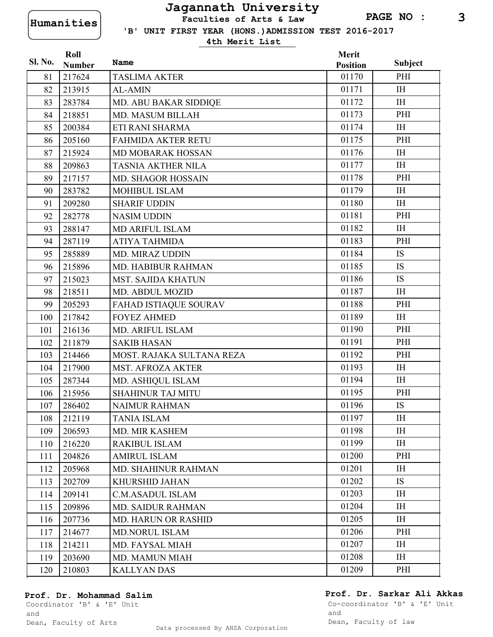**'B' UNIT FIRST YEAR (HONS.)ADMISSION TEST 2016-2017 Humanities Faculties of Arts & Law**

**4th Merit List**

|         | Roll          |                              | Merit           |                |
|---------|---------------|------------------------------|-----------------|----------------|
| Sl. No. | <b>Number</b> | Name                         | <b>Position</b> | <b>Subject</b> |
| 81      | 217624        | <b>TASLIMA AKTER</b>         | 01170           | PHI            |
| 82      | 213915        | <b>AL-AMIN</b>               | 01171           | <b>IH</b>      |
| 83      | 283784        | MD. ABU BAKAR SIDDIQE        | 01172           | <b>IH</b>      |
| 84      | 218851        | MD. MASUM BILLAH             | 01173           | PHI            |
| 85      | 200384        | ETI RANI SHARMA              | 01174           | I <sub>H</sub> |
| 86      | 205160        | <b>FAHMIDA AKTER RETU</b>    | 01175           | PHI            |
| 87      | 215924        | MD MOBARAK HOSSAN            | 01176           | <b>IH</b>      |
| 88      | 209863        | <b>TASNIA AKTHER NILA</b>    | 01177           | IH             |
| 89      | 217157        | <b>MD. SHAGOR HOSSAIN</b>    | 01178           | PHI            |
| 90      | 283782        | <b>MOHIBUL ISLAM</b>         | 01179           | IH             |
| 91      | 209280        | <b>SHARIF UDDIN</b>          | 01180           | <b>IH</b>      |
| 92      | 282778        | <b>NASIM UDDIN</b>           | 01181           | PHI            |
| 93      | 288147        | <b>MD ARIFUL ISLAM</b>       | 01182           | <b>IH</b>      |
| 94      | 287119        | <b>ATIYA TAHMIDA</b>         | 01183           | PHI            |
| 95      | 285889        | MD. MIRAZ UDDIN              | 01184           | <b>IS</b>      |
| 96      | 215896        | <b>MD. HABIBUR RAHMAN</b>    | 01185           | IS             |
| 97      | 215023        | <b>MST. SAJIDA KHATUN</b>    | 01186           | <b>IS</b>      |
| 98      | 218511        | MD. ABDUL MOZID              | 01187           | <b>IH</b>      |
| 99      | 205293        | <b>FAHAD ISTIAQUE SOURAV</b> | 01188           | PHI            |
| 100     | 217842        | <b>FOYEZ AHMED</b>           | 01189           | <b>IH</b>      |
| 101     | 216136        | MD. ARIFUL ISLAM             | 01190           | PHI            |
| 102     | 211879        | <b>SAKIB HASAN</b>           | 01191           | PHI            |
| 103     | 214466        | MOST. RAJAKA SULTANA REZA    | 01192           | PHI            |
| 104     | 217900        | <b>MST. AFROZA AKTER</b>     | 01193           | IH             |
| 105     | 287344        | MD. ASHIQUL ISLAM            | 01194           | <b>IH</b>      |
| 106     | 215956        | <b>SHAHINUR TAJ MITU</b>     | 01195           | PHI            |
| 107     | 286402        | <b>NAIMUR RAHMAN</b>         | 01196           | <b>IS</b>      |
| 108     | 212119        | <b>TANIA ISLAM</b>           | 01197           | IH             |
| 109     | 206593        | MD. MIR KASHEM               | 01198           | IH             |
| 110     | 216220        | <b>RAKIBUL ISLAM</b>         | 01199           | IH             |
| 111     | 204826        | <b>AMIRUL ISLAM</b>          | 01200           | PHI            |
| 112     | 205968        | MD. SHAHINUR RAHMAN          | 01201           | IH             |
| 113     | 202709        | <b>KHURSHID JAHAN</b>        | 01202           | IS             |
| 114     | 209141        | <b>C.M.ASADUL ISLAM</b>      | 01203           | <b>IH</b>      |
| 115     | 209896        | <b>MD. SAIDUR RAHMAN</b>     | 01204           | IH             |
| 116     | 207736        | <b>MD. HARUN OR RASHID</b>   | 01205           | <b>IH</b>      |
| 117     | 214677        | <b>MD.NORUL ISLAM</b>        | 01206           | PHI            |
| 118     | 214211        | MD. FAYSAL MIAH              | 01207           | IH             |
| 119     | 203690        | <b>MD. MAMUN MIAH</b>        | 01208           | IH             |
| 120     | 210803        | <b>KALLYAN DAS</b>           | 01209           | PHI            |

#### **Prof. Dr. Mohammad Salim**

### **Prof. Dr. Sarkar Ali Akkas**

Coordinator 'B' & 'E' Unit and Dean, Faculty of Arts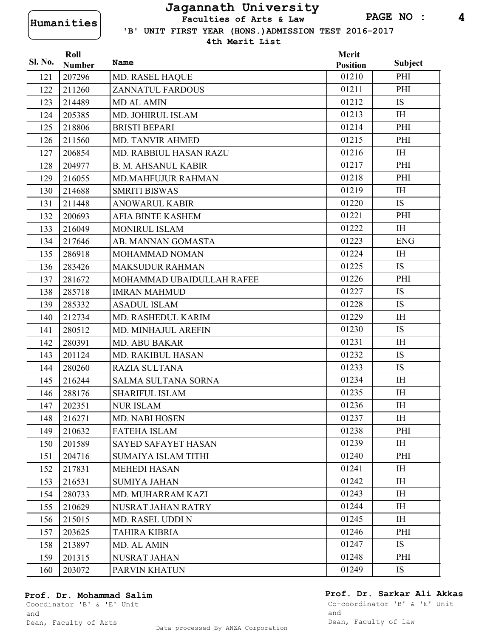**'B' UNIT FIRST YEAR (HONS.)ADMISSION TEST 2016-2017 Humanities Faculties of Arts & Law**

**4th Merit List**

| Sl. No. | Roll<br><b>Number</b> | Name                       | Merit<br><b>Position</b> | <b>Subject</b> |
|---------|-----------------------|----------------------------|--------------------------|----------------|
| 121     | 207296                | <b>MD. RASEL HAQUE</b>     | 01210                    | PHI            |
| 122     | 211260                | <b>ZANNATUL FARDOUS</b>    | 01211                    | PHI            |
| 123     | 214489                | <b>MD AL AMIN</b>          | 01212                    | <b>IS</b>      |
| 124     | 205385                | MD. JOHIRUL ISLAM          | 01213                    | I <sub>H</sub> |
| 125     | 218806                | <b>BRISTI BEPARI</b>       | 01214                    | PHI            |
| 126     | 211560                | MD. TANVIR AHMED           | 01215                    | PHI            |
| 127     | 206854                | MD. RABBIUL HASAN RAZU     | 01216                    | I <sub>H</sub> |
| 128     | 204977                | <b>B. M. AHSANUL KABIR</b> | 01217                    | PHI            |
| 129     | 216055                | <b>MD.MAHFUJUR RAHMAN</b>  | 01218                    | PHI            |
| 130     | 214688                | <b>SMRITI BISWAS</b>       | 01219                    | <b>IH</b>      |
| 131     | 211448                | <b>ANOWARUL KABIR</b>      | 01220                    | <b>IS</b>      |
| 132     | 200693                | <b>AFIA BINTE KASHEM</b>   | 01221                    | PHI            |
| 133     | 216049                | MONIRUL ISLAM              | 01222                    | IH             |
| 134     | 217646                | AB. MANNAN GOMASTA         | 01223                    | <b>ENG</b>     |
| 135     | 286918                | MOHAMMAD NOMAN             | 01224                    | <b>IH</b>      |
| 136     | 283426                | <b>MAKSUDUR RAHMAN</b>     | 01225                    | <b>IS</b>      |
| 137     | 281672                | MOHAMMAD UBAIDULLAH RAFEE  | 01226                    | PHI            |
| 138     | 285718                | <b>IMRAN MAHMUD</b>        | 01227                    | <b>IS</b>      |
| 139     | 285332                | <b>ASADUL ISLAM</b>        | 01228                    | IS             |
| 140     | 212734                | MD. RASHEDUL KARIM         | 01229                    | <b>IH</b>      |
| 141     | 280512                | MD. MINHAJUL AREFIN        | 01230                    | <b>IS</b>      |
| 142     | 280391                | MD. ABU BAKAR              | 01231                    | <b>IH</b>      |
| 143     | 201124                | MD. RAKIBUL HASAN          | 01232                    | <b>IS</b>      |
| 144     | 280260                | <b>RAZIA SULTANA</b>       | 01233                    | <b>IS</b>      |
| 145     | 216244                | <b>SALMA SULTANA SORNA</b> | 01234                    | <b>IH</b>      |
| 146     | 288176                | <b>SHARIFUL ISLAM</b>      | 01235                    | IH             |
| 147     | 202351                | NUR ISLAM                  | 01236                    | <b>IH</b>      |
| 148     | 216271                | MD. NABI HOSEN             | 01237                    | IH             |
| 149     | 210632                | <b>FATEHA ISLAM</b>        | 01238                    | PHI            |
| 150     | 201589                | SAYED SAFAYET HASAN        | 01239                    | IH             |
| 151     | 204716                | <b>SUMAIYA ISLAM TITHI</b> | 01240                    | PHI            |
| 152     | 217831                | <b>MEHEDI HASAN</b>        | 01241                    | IH             |
| 153     | 216531                | <b>SUMIYA JAHAN</b>        | 01242                    | I <sub>H</sub> |
| 154     | 280733                | MD. MUHARRAM KAZI          | 01243                    | IH             |
| 155     | 210629                | NUSRAT JAHAN RATRY         | 01244                    | IH             |
| 156     | 215015                | MD. RASEL UDDI N           | 01245                    | I <sub>H</sub> |
| 157     | 203625                | TAHIRA KIBRIA              | 01246                    | PHI            |
| 158     | 213897                | MD. AL AMIN                | 01247                    | <b>IS</b>      |
| 159     | 201315                | <b>NUSRAT JAHAN</b>        | 01248                    | PHI            |
| 160     | 203072                | PARVIN KHATUN              | 01249                    | IS             |

#### **Prof. Dr. Mohammad Salim**

### **Prof. Dr. Sarkar Ali Akkas**

Coordinator 'B' & 'E' Unit and Dean, Faculty of Arts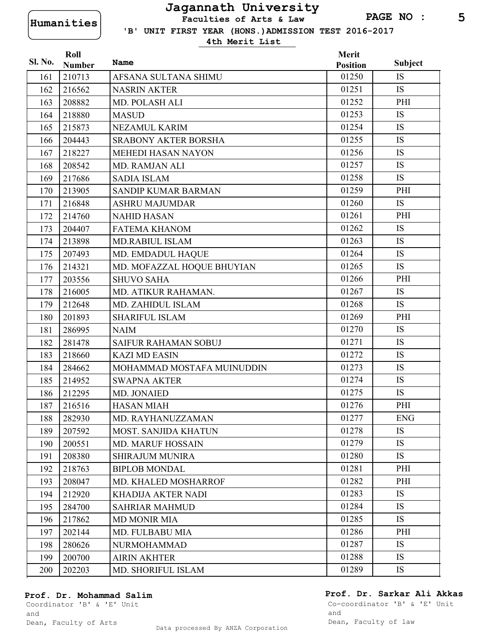**'B' UNIT FIRST YEAR (HONS.)ADMISSION TEST 2016-2017 Humanities Faculties of Arts & Law**

**4th Merit List**

| Sl. No. | Roll          | <b>Name</b>                 | Merit           | <b>Subject</b> |
|---------|---------------|-----------------------------|-----------------|----------------|
|         | <b>Number</b> |                             | <b>Position</b> |                |
| 161     | 210713        | AFSANA SULTANA SHIMU        | 01250           | <b>IS</b>      |
| 162     | 216562        | <b>NASRIN AKTER</b>         | 01251           | <b>IS</b>      |
| 163     | 208882        | MD. POLASH ALI              | 01252           | PHI            |
| 164     | 218880        | <b>MASUD</b>                | 01253           | <b>IS</b>      |
| 165     | 215873        | NEZAMUL KARIM               | 01254           | <b>IS</b>      |
| 166     | 204443        | <b>SRABONY AKTER BORSHA</b> | 01255           | <b>IS</b>      |
| 167     | 218227        | <b>MEHEDI HASAN NAYON</b>   | 01256           | IS             |
| 168     | 208542        | <b>MD. RAMJAN ALI</b>       | 01257           | <b>IS</b>      |
| 169     | 217686        | <b>SADIA ISLAM</b>          | 01258           | <b>IS</b>      |
| 170     | 213905        | SANDIP KUMAR BARMAN         | 01259           | PHI            |
| 171     | 216848        | <b>ASHRU MAJUMDAR</b>       | 01260           | <b>IS</b>      |
| 172     | 214760        | <b>NAHID HASAN</b>          | 01261           | PHI            |
| 173     | 204407        | <b>FATEMA KHANOM</b>        | 01262           | IS             |
| 174     | 213898        | <b>MD.RABIUL ISLAM</b>      | 01263           | <b>IS</b>      |
| 175     | 207493        | MD. EMDADUL HAQUE           | 01264           | IS             |
| 176     | 214321        | MD. MOFAZZAL HOQUE BHUYIAN  | 01265           | <b>IS</b>      |
| 177     | 203556        | <b>SHUVO SAHA</b>           | 01266           | PHI            |
| 178     | 216005        | MD. ATIKUR RAHAMAN.         | 01267           | <b>IS</b>      |
| 179     | 212648        | MD. ZAHIDUL ISLAM           | 01268           | <b>IS</b>      |
| 180     | 201893        | <b>SHARIFUL ISLAM</b>       | 01269           | PHI            |
| 181     | 286995        | <b>NAIM</b>                 | 01270           | IS             |
| 182     | 281478        | <b>SAIFUR RAHAMAN SOBUJ</b> | 01271           | <b>IS</b>      |
| 183     | 218660        | <b>KAZI MD EASIN</b>        | 01272           | IS             |
| 184     | 284662        | MOHAMMAD MOSTAFA MUINUDDIN  | 01273           | <b>IS</b>      |
| 185     | 214952        | <b>SWAPNA AKTER</b>         | 01274           | <b>IS</b>      |
| 186     | 212295        | MD. JONAIED                 | 01275           | <b>IS</b>      |
| 187     | 216516        | <b>HASAN MIAH</b>           | 01276           | PHI            |
| 188     | 282930        | MD. RAYHANUZZAMAN           | 01277           | <b>ENG</b>     |
| 189     | 207592        | <b>MOST. SANJIDA KHATUN</b> | 01278           | IS             |
| 190     | 200551        | <b>MD. MARUF HOSSAIN</b>    | 01279           | <b>IS</b>      |
| 191     | 208380        | <b>SHIRAJUM MUNIRA</b>      | 01280           | <b>IS</b>      |
| 192     | 218763        | <b>BIPLOB MONDAL</b>        | 01281           | PHI            |
| 193     | 208047        | MD. KHALED MOSHARROF        | 01282           | PHI            |
| 194     | 212920        | <b>KHADIJA AKTER NADI</b>   | 01283           | IS             |
| 195     | 284700        | <b>SAHRIAR MAHMUD</b>       | 01284           | <b>IS</b>      |
| 196     | 217862        | <b>MD MONIR MIA</b>         | 01285           | <b>IS</b>      |
| 197     | 202144        | MD. FULBABU MIA             | 01286           | PHI            |
| 198     | 280626        | NURMOHAMMAD                 | 01287           | IS             |
| 199     | 200700        | <b>AIRIN AKHTER</b>         | 01288           | IS             |
| 200     | 202203        | MD. SHORIFUL ISLAM          | 01289           | IS             |

### **Prof. Dr. Mohammad Salim**

**Prof. Dr. Sarkar Ali Akkas**

Coordinator 'B' & 'E' Unit and

Dean, Faculty of Arts